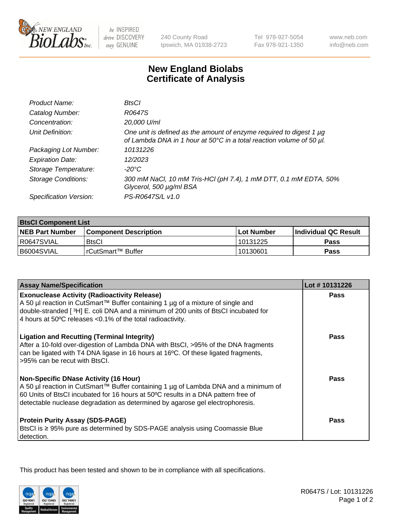

 $be$  INSPIRED drive DISCOVERY stay GENUINE

240 County Road Ipswich, MA 01938-2723 Tel 978-927-5054 Fax 978-921-1350

www.neb.com info@neb.com

## **New England Biolabs Certificate of Analysis**

| Product Name:              | BtsCl                                                                                                                                            |
|----------------------------|--------------------------------------------------------------------------------------------------------------------------------------------------|
| Catalog Number:            | R0647S                                                                                                                                           |
| Concentration:             | 20,000 U/ml                                                                                                                                      |
| Unit Definition:           | One unit is defined as the amount of enzyme required to digest 1 $\mu$ g<br>of Lambda DNA in 1 hour at 50°C in a total reaction volume of 50 µl. |
| Packaging Lot Number:      | 10131226                                                                                                                                         |
| <b>Expiration Date:</b>    | 12/2023                                                                                                                                          |
| Storage Temperature:       | $-20^{\circ}$ C                                                                                                                                  |
| <b>Storage Conditions:</b> | 300 mM NaCl, 10 mM Tris-HCl (pH 7.4), 1 mM DTT, 0.1 mM EDTA, 50%<br>Glycerol, 500 µg/ml BSA                                                      |
| Specification Version:     | PS-R0647S/L v1.0                                                                                                                                 |

| <b>BtsCl Component List</b> |                         |             |                             |  |
|-----------------------------|-------------------------|-------------|-----------------------------|--|
| <b>NEB Part Number</b>      | l Component Description | ⊺Lot Number | <b>Individual QC Result</b> |  |
| R0647SVIAL                  | <b>BtsCl</b>            | 10131225    | Pass                        |  |
| B6004SVIAL                  | l rCutSmart™ Buffer     | 10130601    | Pass                        |  |

| <b>Assay Name/Specification</b>                                                                                                                                                                                                                                                                           | Lot #10131226 |
|-----------------------------------------------------------------------------------------------------------------------------------------------------------------------------------------------------------------------------------------------------------------------------------------------------------|---------------|
| <b>Exonuclease Activity (Radioactivity Release)</b><br>A 50 µl reaction in CutSmart™ Buffer containing 1 µg of a mixture of single and                                                                                                                                                                    | <b>Pass</b>   |
| double-stranded [3H] E. coli DNA and a minimum of 200 units of BtsCl incubated for<br>4 hours at 50°C releases <0.1% of the total radioactivity.                                                                                                                                                          |               |
| <b>Ligation and Recutting (Terminal Integrity)</b><br>After a 10-fold over-digestion of Lambda DNA with BtsCl, >95% of the DNA fragments<br>can be ligated with T4 DNA ligase in 16 hours at 16°C. Of these ligated fragments,<br>>95% can be recut with BtsCl.                                           | Pass          |
| <b>Non-Specific DNase Activity (16 Hour)</b><br>A 50 µl reaction in CutSmart™ Buffer containing 1 µg of Lambda DNA and a minimum of<br>60 Units of BtsCl incubated for 16 hours at 50°C results in a DNA pattern free of<br>detectable nuclease degradation as determined by agarose gel electrophoresis. | <b>Pass</b>   |
| <b>Protein Purity Assay (SDS-PAGE)</b><br>BtsCl is ≥ 95% pure as determined by SDS-PAGE analysis using Coomassie Blue<br>detection.                                                                                                                                                                       | Pass          |

This product has been tested and shown to be in compliance with all specifications.